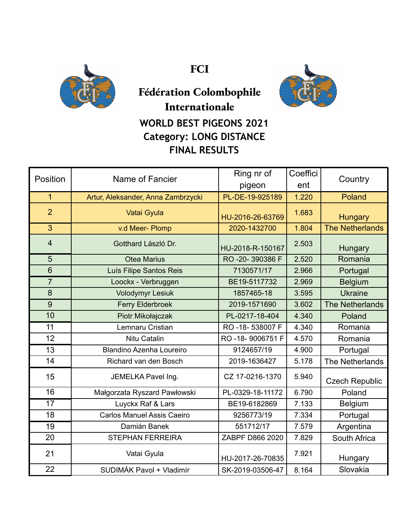

**FCI**



## **Fédération Colombophile Internationale WORLD BEST PIGEONS 2021 Category: LONG DISTANCE FINAL RESULTS**

| Position        | Name of Fancier                    | Ring nr of<br>pigeon | Coeffici<br>ent | Country                |
|-----------------|------------------------------------|----------------------|-----------------|------------------------|
| $\overline{1}$  | Artur, Aleksander, Anna Zambrzycki | PL-DE-19-925189      | 1.220           | Poland                 |
| $\overline{2}$  | Vatai Gyula                        | HU-2016-26-63769     | 1.683           | Hungary                |
| 3               | v.d Meer- Plomp                    | 2020-1432700         | 1.804           | <b>The Netherlands</b> |
| $\overline{4}$  | Gotthard László Dr.                | HU-2018-R-150167     | 2.503           | Hungary                |
| $\overline{5}$  | <b>Otea Marius</b>                 | RO-20-390386 F       | 2.520           | Romania                |
| $6\phantom{1}6$ | Luís Filipe Santos Reis            | 7130571/17           | 2.966           | Portugal               |
| $\overline{7}$  | Loockx - Verbruggen                | BE19-5117732         | 2.969           | <b>Belgium</b>         |
| 8               | <b>Volodymyr Lesiuk</b>            | 1857465-18           | 3.595           | <b>Ukraine</b>         |
| 9               | <b>Ferry Elderbroek</b>            | 2019-1571690         | 3.602           | <b>The Netherlands</b> |
| 10              | Piotr Mikołajczak                  | PL-0217-18-404       | 4.340           | Poland                 |
| 11              | Lemnaru Cristian                   | RO-18-538007 F       | 4.340           | Romania                |
| 12              | Nitu Catalin                       | RO-18-9006751 F      | 4.570           | Romania                |
| 13              | <b>Blandino Azenha Loureiro</b>    | 9124657/19           | 4.900           | Portugal               |
| 14              | Richard van den Bosch              | 2019-1636427         | 5.178           | The Netherlands        |
| 15              | JEMELKA Pavel Ing.                 | CZ 17-0216-1370      | 5.940           | <b>Czech Republic</b>  |
| 16              | Małgorzata Ryszard Pawłowski       | PL-0329-18-11172     | 6.790           | Poland                 |
| 17              | Luyckx Raf & Lars                  | BE19-6182869         | 7.133           | <b>Belgium</b>         |
| 18              | <b>Carlos Manuel Assis Caeiro</b>  | 9256773/19           | 7.334           | Portugal               |
| 19              | Damián Banek                       | 551712/17            | 7.579           | Argentina              |
| 20              | <b>STEPHAN FERREIRA</b>            | ZABPF D866 2020      | 7.829           | South Africa           |
| 21              | Vatai Gyula                        | HU-2017-26-70835     | 7.921           | Hungary                |
| 22              | SUDIMÁK Pavol + Vladimír           | SK-2019-03506-47     | 8.164           | Slovakia               |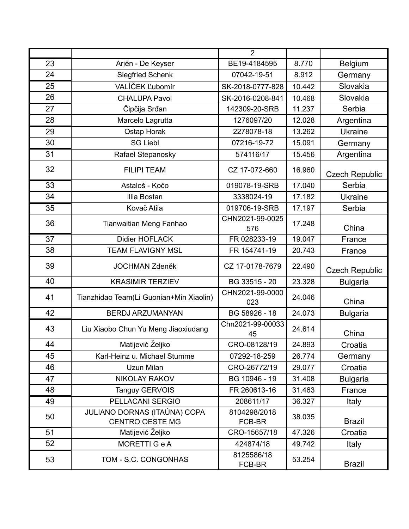|    |                                                        | $\overline{2}$         |        |                       |
|----|--------------------------------------------------------|------------------------|--------|-----------------------|
| 23 | Ariën - De Keyser                                      | BE19-4184595           | 8.770  | Belgium               |
| 24 | <b>Siegfried Schenk</b>                                | 07042-19-51            | 8.912  | Germany               |
| 25 | VALÍČEK Ľubomír                                        | SK-2018-0777-828       | 10.442 | Slovakia              |
| 26 | <b>CHALUPA Pavol</b>                                   | SK-2016-0208-841       | 10.468 | Slovakia              |
| 27 | Čipčija Srđan                                          | 142309-20-SRB          | 11.237 | Serbia                |
| 28 | Marcelo Lagrutta                                       | 1276097/20             | 12.028 | Argentina             |
| 29 | Ostap Horak                                            | 2278078-18             | 13.262 | <b>Ukraine</b>        |
| 30 | <b>SG Liebl</b>                                        | 07216-19-72            | 15.091 | Germany               |
| 31 | Rafael Stepanosky                                      | 574116/17              | 15.456 | Argentina             |
| 32 | <b>FILIPI TEAM</b>                                     | CZ 17-072-660          | 16.960 | <b>Czech Republic</b> |
| 33 | Astaloš - Kočo                                         | 019078-19-SRB          | 17.040 | Serbia                |
| 34 | illia Bostan                                           | 3338024-19             | 17.182 | <b>Ukraine</b>        |
| 35 | Kovač Atila                                            | 019706-19-SRB          | 17.197 | Serbia                |
| 36 | Tianwaitian Meng Fanhao                                | CHN2021-99-0025<br>576 | 17.248 | China                 |
| 37 | <b>Didier HOFLACK</b>                                  | FR 028233-19           | 19.047 | France                |
| 38 | <b>TEAM FLAVIGNY MSL</b>                               | FR 154741-19           | 20.743 | France                |
| 39 | <b>JOCHMAN Zdeněk</b>                                  | CZ 17-0178-7679        | 22.490 | <b>Czech Republic</b> |
| 40 | <b>KRASIMIR TERZIEV</b>                                | BG 33515 - 20          | 23.328 | <b>Bulgaria</b>       |
| 41 | Tianzhidao Team(Li Guonian+Min Xiaolin)                | CHN2021-99-0000<br>023 | 24.046 | China                 |
| 42 | <b>BERDJ ARZUMANYAN</b>                                | BG 58926 - 18          | 24.073 | <b>Bulgaria</b>       |
| 43 | Liu Xiaobo Chun Yu Meng Jiaoxiudang                    | Chn2021-99-00033<br>45 | 24.614 | China                 |
| 44 | Matijević Željko                                       | CRO-08128/19           | 24.893 | Croatia               |
| 45 | Karl-Heinz u. Michael Stumme                           | 07292-18-259           | 26.774 | Germany               |
| 46 | Uzun Milan                                             | CRO-26772/19           | 29.077 | Croatia               |
| 47 | NIKOLAY RAKOV                                          | BG 10946 - 19          | 31.408 | <b>Bulgaria</b>       |
| 48 | <b>Tanguy GERVOIS</b>                                  | FR 260613-16           | 31.463 | France                |
| 49 | PELLACANI SERGIO                                       | 208611/17              | 36.327 | <b>Italy</b>          |
| 50 | JULIANO DORNAS (ITAÚNA) COPA<br><b>CENTRO OESTE MG</b> | 8104298/2018<br>FCB-BR | 38.035 | <b>Brazil</b>         |
| 51 | Matijević Željko                                       | CRO-15657/18           | 47.326 | Croatia               |
| 52 | <b>MORETTI G e A</b>                                   | 424874/18              | 49.742 | Italy                 |
| 53 | TOM - S.C. CONGONHAS                                   | 8125586/18<br>FCB-BR   | 53.254 | <b>Brazil</b>         |